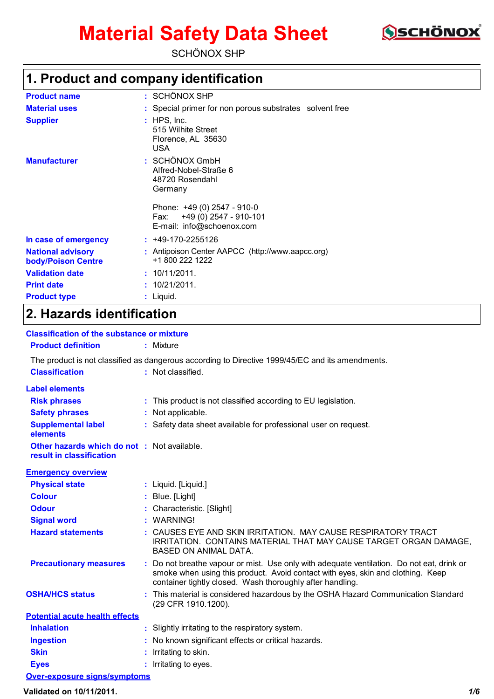# **Material Safety Data Sheet**



SCHÖNOX SHP

# **1. Product and company identification**

| <b>Product name</b>                                   | : SCHÖNOX SHP                                                                           |
|-------------------------------------------------------|-----------------------------------------------------------------------------------------|
| <b>Material uses</b>                                  | : Special primer for non porous substrates solvent free                                 |
| <b>Supplier</b>                                       | $:$ HPS, Inc.<br>515 Wilhite Street<br>Florence, AL 35630<br><b>USA</b>                 |
| <b>Manufacturer</b>                                   | : SCHÖNOX GmbH<br>Alfred-Nobel-Straße 6<br>48720 Rosendahl<br>Germany                   |
|                                                       | Phone: +49 (0) 2547 - 910-0<br>Fax: +49 (0) 2547 - 910-101<br>E-mail: info@schoenox.com |
| In case of emergency                                  | $: 49-170-2255126$                                                                      |
| <b>National advisory</b><br><b>body/Poison Centre</b> | Antipoison Center AAPCC (http://www.aapcc.org)<br>+1 800 222 1222                       |
| <b>Validation date</b>                                | : 10/11/2011.                                                                           |
| <b>Print date</b>                                     | 10/21/2011.                                                                             |
| <b>Product type</b>                                   | Liquid.                                                                                 |

# **2. Hazards identification**

| <b>Classification of the substance or mixture</b>                       |                                                                                                                                                                                                                                           |
|-------------------------------------------------------------------------|-------------------------------------------------------------------------------------------------------------------------------------------------------------------------------------------------------------------------------------------|
| <b>Product definition</b>                                               | $:$ Mixture                                                                                                                                                                                                                               |
|                                                                         | The product is not classified as dangerous according to Directive 1999/45/EC and its amendments.                                                                                                                                          |
| <b>Classification</b>                                                   | : Not classified.                                                                                                                                                                                                                         |
| <b>Label elements</b>                                                   |                                                                                                                                                                                                                                           |
| <b>Risk phrases</b>                                                     | : This product is not classified according to EU legislation.                                                                                                                                                                             |
| <b>Safety phrases</b>                                                   | : Not applicable.                                                                                                                                                                                                                         |
| <b>Supplemental label</b><br>elements                                   | : Safety data sheet available for professional user on request.                                                                                                                                                                           |
| Other hazards which do not : Not available.<br>result in classification |                                                                                                                                                                                                                                           |
| <b>Emergency overview</b>                                               |                                                                                                                                                                                                                                           |
| <b>Physical state</b>                                                   | : Liquid. [Liquid.]                                                                                                                                                                                                                       |
| <b>Colour</b>                                                           | Blue. [Light]                                                                                                                                                                                                                             |
| <b>Odour</b>                                                            | Characteristic. [Slight]                                                                                                                                                                                                                  |
| <b>Signal word</b>                                                      | : WARNING!                                                                                                                                                                                                                                |
| <b>Hazard statements</b>                                                | CAUSES EYE AND SKIN IRRITATION. MAY CAUSE RESPIRATORY TRACT<br>IRRITATION. CONTAINS MATERIAL THAT MAY CAUSE TARGET ORGAN DAMAGE,<br><b>BASED ON ANIMAL DATA.</b>                                                                          |
| <b>Precautionary measures</b>                                           | : Do not breathe vapour or mist. Use only with adequate ventilation. Do not eat, drink or<br>smoke when using this product. Avoid contact with eyes, skin and clothing. Keep<br>container tightly closed. Wash thoroughly after handling. |
| <b>OSHA/HCS status</b>                                                  | : This material is considered hazardous by the OSHA Hazard Communication Standard<br>(29 CFR 1910.1200).                                                                                                                                  |
| <b>Potential acute health effects</b>                                   |                                                                                                                                                                                                                                           |
| <b>Inhalation</b>                                                       | : Slightly irritating to the respiratory system.                                                                                                                                                                                          |
| <b>Ingestion</b>                                                        | No known significant effects or critical hazards.                                                                                                                                                                                         |
| <b>Skin</b>                                                             | Irritating to skin.                                                                                                                                                                                                                       |
| <b>Eyes</b>                                                             | : Irritating to eyes.                                                                                                                                                                                                                     |
| <b>Over-exposure signs/symptoms</b>                                     |                                                                                                                                                                                                                                           |

**Validated on 10/11/2011.** *1/6*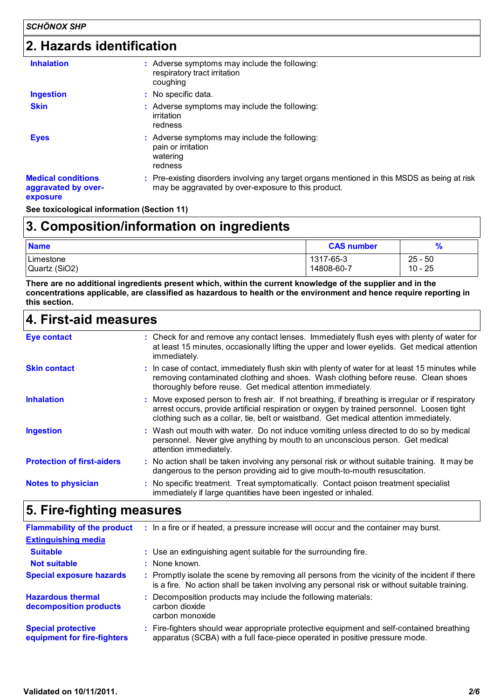### **2. Hazards identification**

| <b>Inhalation</b>                                            | : Adverse symptoms may include the following:<br>respiratory tract irritation<br>coughing                                                           |
|--------------------------------------------------------------|-----------------------------------------------------------------------------------------------------------------------------------------------------|
| <b>Ingestion</b>                                             | : No specific data.                                                                                                                                 |
| <b>Skin</b>                                                  | Adverse symptoms may include the following:<br>irritation<br>redness                                                                                |
| <b>Eyes</b>                                                  | : Adverse symptoms may include the following:<br>pain or irritation<br>watering<br>redness                                                          |
| <b>Medical conditions</b><br>aggravated by over-<br>exposure | : Pre-existing disorders involving any target organs mentioned in this MSDS as being at risk<br>may be aggravated by over-exposure to this product. |
|                                                              |                                                                                                                                                     |

**See toxicological information (Section 11)**

| 3. Composition/information on ingredients |                         |                      |  |
|-------------------------------------------|-------------------------|----------------------|--|
| <b>Name</b>                               | <b>CAS number</b>       | $\frac{9}{6}$        |  |
| <b>Limestone</b><br>Quartz (SiO2)         | 1317-65-3<br>14808-60-7 | 25 - 50<br>$10 - 25$ |  |

**There are no additional ingredients present which, within the current knowledge of the supplier and in the concentrations applicable, are classified as hazardous to health or the environment and hence require reporting in this section.**

#### **4. First-aid measures**

| Eye contact                       | : Check for and remove any contact lenses. Immediately flush eyes with plenty of water for<br>at least 15 minutes, occasionally lifting the upper and lower eyelids. Get medical attention<br>immediately.                                                                               |
|-----------------------------------|------------------------------------------------------------------------------------------------------------------------------------------------------------------------------------------------------------------------------------------------------------------------------------------|
| <b>Skin contact</b>               | : In case of contact, immediately flush skin with plenty of water for at least 15 minutes while<br>removing contaminated clothing and shoes. Wash clothing before reuse. Clean shoes<br>thoroughly before reuse. Get medical attention immediately.                                      |
| <b>Inhalation</b>                 | : Move exposed person to fresh air. If not breathing, if breathing is irregular or if respiratory<br>arrest occurs, provide artificial respiration or oxygen by trained personnel. Loosen tight<br>clothing such as a collar, tie, belt or waistband. Get medical attention immediately. |
| <b>Ingestion</b>                  | : Wash out mouth with water. Do not induce vomiting unless directed to do so by medical<br>personnel. Never give anything by mouth to an unconscious person. Get medical<br>attention immediately.                                                                                       |
| <b>Protection of first-aiders</b> | : No action shall be taken involving any personal risk or without suitable training. It may be<br>dangerous to the person providing aid to give mouth-to-mouth resuscitation.                                                                                                            |
| <b>Notes to physician</b>         | : No specific treatment. Treat symptomatically. Contact poison treatment specialist<br>immediately if large quantities have been ingested or inhaled.                                                                                                                                    |

#### **5. Fire-fighting measures**

| <b>Flammability of the product</b>                       | : In a fire or if heated, a pressure increase will occur and the container may burst.                                                                                                            |
|----------------------------------------------------------|--------------------------------------------------------------------------------------------------------------------------------------------------------------------------------------------------|
| <b>Extinguishing media</b>                               |                                                                                                                                                                                                  |
| <b>Suitable</b>                                          | : Use an extinguishing agent suitable for the surrounding fire.                                                                                                                                  |
| <b>Not suitable</b>                                      | : None known.                                                                                                                                                                                    |
| <b>Special exposure hazards</b>                          | : Promptly isolate the scene by removing all persons from the vicinity of the incident if there<br>is a fire. No action shall be taken involving any personal risk or without suitable training. |
| <b>Hazardous thermal</b><br>decomposition products       | : Decomposition products may include the following materials:<br>carbon dioxide<br>carbon monoxide                                                                                               |
| <b>Special protective</b><br>equipment for fire-fighters | : Fire-fighters should wear appropriate protective equipment and self-contained breathing<br>apparatus (SCBA) with a full face-piece operated in positive pressure mode.                         |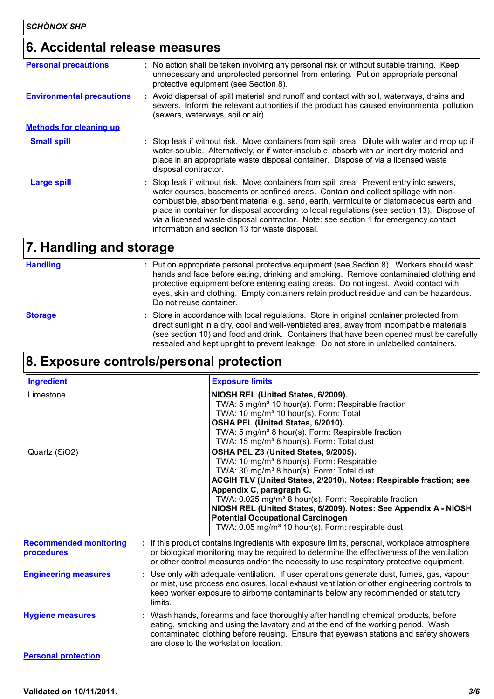#### **6. Accidental release measures**

| <b>Personal precautions</b>      | : No action shall be taken involving any personal risk or without suitable training. Keep<br>unnecessary and unprotected personnel from entering. Put on appropriate personal<br>protective equipment (see Section 8).                                                                                                                                                                                                                                                                                            |
|----------------------------------|-------------------------------------------------------------------------------------------------------------------------------------------------------------------------------------------------------------------------------------------------------------------------------------------------------------------------------------------------------------------------------------------------------------------------------------------------------------------------------------------------------------------|
| <b>Environmental precautions</b> | : Avoid dispersal of spilt material and runoff and contact with soil, waterways, drains and<br>sewers. Inform the relevant authorities if the product has caused environmental pollution<br>(sewers, waterways, soil or air).                                                                                                                                                                                                                                                                                     |
| <b>Methods for cleaning up</b>   |                                                                                                                                                                                                                                                                                                                                                                                                                                                                                                                   |
| <b>Small spill</b>               | : Stop leak if without risk. Move containers from spill area. Dilute with water and mop up if<br>water-soluble. Alternatively, or if water-insoluble, absorb with an inert dry material and<br>place in an appropriate waste disposal container. Dispose of via a licensed waste<br>disposal contractor.                                                                                                                                                                                                          |
| <b>Large spill</b>               | : Stop leak if without risk. Move containers from spill area. Prevent entry into sewers,<br>water courses, basements or confined areas. Contain and collect spillage with non-<br>combustible, absorbent material e.g. sand, earth, vermiculite or diatomaceous earth and<br>place in container for disposal according to local regulations (see section 13). Dispose of<br>via a licensed waste disposal contractor. Note: see section 1 for emergency contact<br>information and section 13 for waste disposal. |
| 7. Handling and storage          |                                                                                                                                                                                                                                                                                                                                                                                                                                                                                                                   |

**Handling**

Put on appropriate personal protective equipment (see Section 8). Workers should wash **:** hands and face before eating, drinking and smoking. Remove contaminated clothing and protective equipment before entering eating areas. Do not ingest. Avoid contact with eyes, skin and clothing. Empty containers retain product residue and can be hazardous. Do not reuse container.

**Storage**

Store in accordance with local regulations. Store in original container protected from **:** direct sunlight in a dry, cool and well-ventilated area, away from incompatible materials (see section 10) and food and drink. Containers that have been opened must be carefully resealed and kept upright to prevent leakage. Do not store in unlabelled containers.

#### **8. Exposure controls/personal protection**

| <b>Ingredient</b>                           | <b>Exposure limits</b>                                                                                                                                                                                                                                                                                                                                                                                                                                                                                                                                                                                                                                                                                                                                                                                                                      |
|---------------------------------------------|---------------------------------------------------------------------------------------------------------------------------------------------------------------------------------------------------------------------------------------------------------------------------------------------------------------------------------------------------------------------------------------------------------------------------------------------------------------------------------------------------------------------------------------------------------------------------------------------------------------------------------------------------------------------------------------------------------------------------------------------------------------------------------------------------------------------------------------------|
| Limestone<br>Quartz (SiO2)                  | NIOSH REL (United States, 6/2009).<br>TWA: 5 mg/m <sup>3</sup> 10 hour(s). Form: Respirable fraction<br>TWA: 10 mg/m <sup>3</sup> 10 hour(s). Form: Total<br>OSHA PEL (United States, 6/2010).<br>TWA: 5 mg/m <sup>3</sup> 8 hour(s). Form: Respirable fraction<br>TWA: 15 mg/m <sup>3</sup> 8 hour(s). Form: Total dust<br>OSHA PEL Z3 (United States, 9/2005).<br>TWA: 10 mg/m <sup>3</sup> 8 hour(s). Form: Respirable<br>TWA: 30 mg/m <sup>3</sup> 8 hour(s). Form: Total dust.<br>ACGIH TLV (United States, 2/2010). Notes: Respirable fraction; see<br>Appendix C, paragraph C.<br>TWA: 0.025 mg/m <sup>3</sup> 8 hour(s). Form: Respirable fraction<br>NIOSH REL (United States, 6/2009). Notes: See Appendix A - NIOSH<br><b>Potential Occupational Carcinogen</b><br>TWA: 0.05 mg/m <sup>3</sup> 10 hour(s). Form: respirable dust |
| <b>Recommended monitoring</b><br>procedures | If this product contains ingredients with exposure limits, personal, workplace atmosphere<br>or biological monitoring may be required to determine the effectiveness of the ventilation<br>or other control measures and/or the necessity to use respiratory protective equipment.                                                                                                                                                                                                                                                                                                                                                                                                                                                                                                                                                          |
| <b>Engineering measures</b>                 | : Use only with adequate ventilation. If user operations generate dust, fumes, gas, vapour<br>or mist, use process enclosures, local exhaust ventilation or other engineering controls to<br>keep worker exposure to airborne contaminants below any recommended or statutory<br>limits.                                                                                                                                                                                                                                                                                                                                                                                                                                                                                                                                                    |
| <b>Hygiene measures</b>                     | : Wash hands, forearms and face thoroughly after handling chemical products, before<br>eating, smoking and using the lavatory and at the end of the working period. Wash<br>contaminated clothing before reusing. Ensure that eyewash stations and safety showers<br>are close to the workstation location.                                                                                                                                                                                                                                                                                                                                                                                                                                                                                                                                 |
| <b>Personal protection</b>                  |                                                                                                                                                                                                                                                                                                                                                                                                                                                                                                                                                                                                                                                                                                                                                                                                                                             |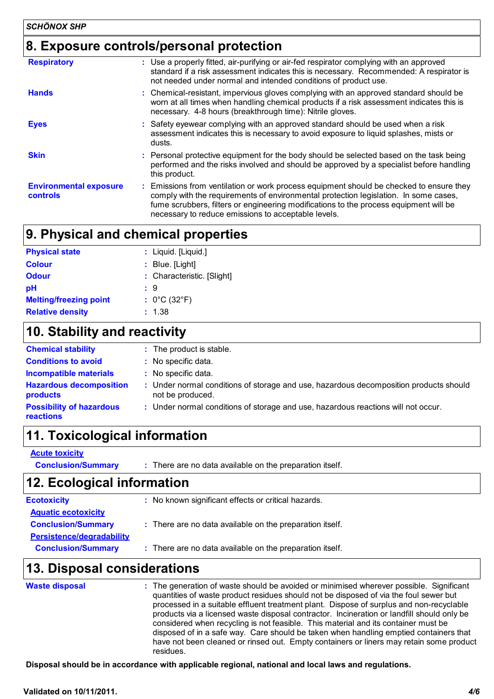# **8. Exposure controls/personal protection**

| <b>Respiratory</b>                        | : Use a properly fitted, air-purifying or air-fed respirator complying with an approved<br>standard if a risk assessment indicates this is necessary. Recommended: A respirator is<br>not needed under normal and intended conditions of product use.                                                                           |
|-------------------------------------------|---------------------------------------------------------------------------------------------------------------------------------------------------------------------------------------------------------------------------------------------------------------------------------------------------------------------------------|
| <b>Hands</b>                              | : Chemical-resistant, impervious gloves complying with an approved standard should be<br>worn at all times when handling chemical products if a risk assessment indicates this is<br>necessary. 4-8 hours (breakthrough time): Nitrile gloves.                                                                                  |
| <b>Eyes</b>                               | : Safety eyewear complying with an approved standard should be used when a risk<br>assessment indicates this is necessary to avoid exposure to liquid splashes, mists or<br>dusts.                                                                                                                                              |
| <b>Skin</b>                               | : Personal protective equipment for the body should be selected based on the task being<br>performed and the risks involved and should be approved by a specialist before handling<br>this product.                                                                                                                             |
| <b>Environmental exposure</b><br>controls | : Emissions from ventilation or work process equipment should be checked to ensure they<br>comply with the requirements of environmental protection legislation. In some cases,<br>fume scrubbers, filters or engineering modifications to the process equipment will be<br>necessary to reduce emissions to acceptable levels. |

# **9. Physical and chemical properties**

| <b>Physical state</b>         | : Liquid. [Liquid.]               |  |
|-------------------------------|-----------------------------------|--|
| <b>Colour</b>                 | $:$ Blue. [Light]                 |  |
| <b>Odour</b>                  | : Characteristic. [Slight]        |  |
| pH                            | : 9                               |  |
| <b>Melting/freezing point</b> | : $0^{\circ}$ C (32 $^{\circ}$ F) |  |
| <b>Relative density</b>       | : 1.38                            |  |

# **10. Stability and reactivity**

| <b>Chemical stability</b>                    | : The product is stable.                                                                                  |
|----------------------------------------------|-----------------------------------------------------------------------------------------------------------|
| <b>Conditions to avoid</b>                   | : No specific data.                                                                                       |
| <b>Incompatible materials</b>                | : No specific data.                                                                                       |
| <b>Hazardous decomposition</b><br>products   | : Under normal conditions of storage and use, hazardous decomposition products should<br>not be produced. |
| <b>Possibility of hazardous</b><br>reactions | : Under normal conditions of storage and use, hazardous reactions will not occur.                         |

### **11. Toxicological information**

**Acute toxicity**

**Conclusion/Summary :** There are no data available on the preparation itself.

### **12. Ecological information**

| <b>Ecotoxicity</b>               | : No known significant effects or critical hazards.      |
|----------------------------------|----------------------------------------------------------|
| <b>Aquatic ecotoxicity</b>       |                                                          |
| <b>Conclusion/Summary</b>        | : There are no data available on the preparation itself. |
| <b>Persistence/degradability</b> |                                                          |
| <b>Conclusion/Summary</b>        | : There are no data available on the preparation itself. |
|                                  |                                                          |

### **13. Disposal considerations**

| <b>Waste disposal</b> | : The generation of waste should be avoided or minimised wherever possible. Significant<br>quantities of waste product residues should not be disposed of via the foul sewer but<br>processed in a suitable effluent treatment plant. Dispose of surplus and non-recyclable<br>products via a licensed waste disposal contractor. Incineration or landfill should only be<br>considered when recycling is not feasible. This material and its container must be<br>disposed of in a safe way. Care should be taken when handling emptied containers that<br>have not been cleaned or rinsed out. Empty containers or liners may retain some product<br>residues. |
|-----------------------|------------------------------------------------------------------------------------------------------------------------------------------------------------------------------------------------------------------------------------------------------------------------------------------------------------------------------------------------------------------------------------------------------------------------------------------------------------------------------------------------------------------------------------------------------------------------------------------------------------------------------------------------------------------|
|-----------------------|------------------------------------------------------------------------------------------------------------------------------------------------------------------------------------------------------------------------------------------------------------------------------------------------------------------------------------------------------------------------------------------------------------------------------------------------------------------------------------------------------------------------------------------------------------------------------------------------------------------------------------------------------------------|

**Disposal should be in accordance with applicable regional, national and local laws and regulations.**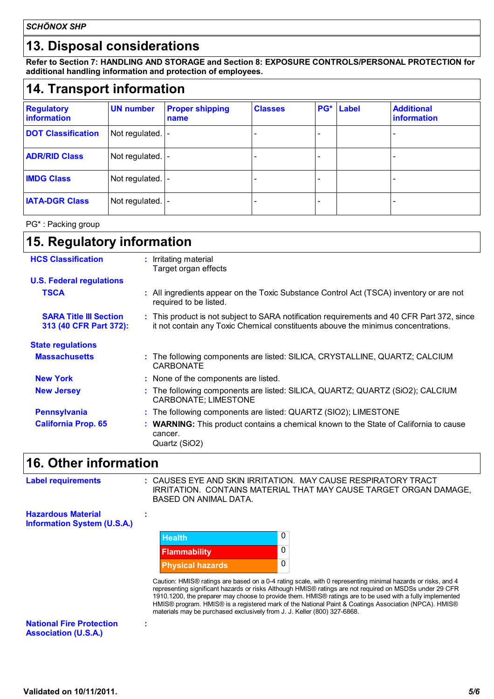### **13. Disposal considerations**

**Refer to Section 7: HANDLING AND STORAGE and Section 8: EXPOSURE CONTROLS/PERSONAL PROTECTION for additional handling information and protection of employees.**

# **14. Transport information**

| <b>Regulatory</b><br>information | <b>UN number</b>  | <b>Proper shipping</b><br>name | <b>Classes</b> | <b>PG*</b> Label | <b>Additional</b><br>information |
|----------------------------------|-------------------|--------------------------------|----------------|------------------|----------------------------------|
| <b>DOT Classification</b>        | Not regulated.    |                                |                |                  |                                  |
| <b>ADR/RID Class</b>             | Not regulated.  - |                                |                |                  |                                  |
| <b>IMDG Class</b>                | Not regulated.  - |                                |                |                  |                                  |
| <b>IATA-DGR Class</b>            | Not regulated.    |                                |                |                  |                                  |

PG\* : Packing group

| 15. Regulatory information                              |                                                                                                                                                                                 |  |  |  |
|---------------------------------------------------------|---------------------------------------------------------------------------------------------------------------------------------------------------------------------------------|--|--|--|
| <b>HCS Classification</b>                               | : Irritating material<br>Target organ effects                                                                                                                                   |  |  |  |
| <b>U.S. Federal regulations</b>                         |                                                                                                                                                                                 |  |  |  |
| <b>TSCA</b>                                             | : All ingredients appear on the Toxic Substance Control Act (TSCA) inventory or are not<br>required to be listed.                                                               |  |  |  |
| <b>SARA Title III Section</b><br>313 (40 CFR Part 372): | : This product is not subject to SARA notification requirements and 40 CFR Part 372, since<br>it not contain any Toxic Chemical constituents abouve the minimus concentrations. |  |  |  |
| <b>State regulations</b>                                |                                                                                                                                                                                 |  |  |  |
| <b>Massachusetts</b>                                    | : The following components are listed: SILICA, CRYSTALLINE, QUARTZ; CALCIUM<br><b>CARBONATE</b>                                                                                 |  |  |  |
| <b>New York</b>                                         | : None of the components are listed.                                                                                                                                            |  |  |  |
| <b>New Jersey</b>                                       | : The following components are listed: SILICA, QUARTZ; QUARTZ (SiO2); CALCIUM<br>CARBONATE; LIMESTONE                                                                           |  |  |  |
| <b>Pennsylvania</b>                                     | : The following components are listed: QUARTZ (SIO2); LIMESTONE                                                                                                                 |  |  |  |
| <b>California Prop. 65</b>                              | : WARNING: This product contains a chemical known to the State of California to cause<br>cancer.<br>Quartz (SiO2)                                                               |  |  |  |

# **16. Other information**

| <b>Label requirements</b>                                       | BASED ON ANIMAL DATA.                                                                                                                                                                                                                                                                                                                                                                                                                                                                                                   | : CAUSES EYE AND SKIN IRRITATION. MAY CAUSE RESPIRATORY TRACT<br>IRRITATION. CONTAINS MATERIAL THAT MAY CAUSE TARGET ORGAN DAMAGE, |  |  |  |
|-----------------------------------------------------------------|-------------------------------------------------------------------------------------------------------------------------------------------------------------------------------------------------------------------------------------------------------------------------------------------------------------------------------------------------------------------------------------------------------------------------------------------------------------------------------------------------------------------------|------------------------------------------------------------------------------------------------------------------------------------|--|--|--|
| <b>Hazardous Material</b><br><b>Information System (U.S.A.)</b> |                                                                                                                                                                                                                                                                                                                                                                                                                                                                                                                         |                                                                                                                                    |  |  |  |
|                                                                 | <b>Health</b>                                                                                                                                                                                                                                                                                                                                                                                                                                                                                                           | 0                                                                                                                                  |  |  |  |
|                                                                 | <b>Flammability</b>                                                                                                                                                                                                                                                                                                                                                                                                                                                                                                     | 0                                                                                                                                  |  |  |  |
|                                                                 | <b>Physical hazards</b>                                                                                                                                                                                                                                                                                                                                                                                                                                                                                                 | 0                                                                                                                                  |  |  |  |
|                                                                 | Caution: HMIS® ratings are based on a 0-4 rating scale, with 0 representing minimal hazards or risks, and 4<br>representing significant hazards or risks Although HMIS® ratings are not required on MSDSs under 29 CFR<br>1910.1200, the preparer may choose to provide them. HMIS® ratings are to be used with a fully implemented<br>HMIS® program. HMIS® is a registered mark of the National Paint & Coatings Association (NPCA). HMIS®<br>materials may be purchased exclusively from J. J. Keller (800) 327-6868. |                                                                                                                                    |  |  |  |
| <b>National Fire Protection</b><br><b>Association (U.S.A.)</b>  |                                                                                                                                                                                                                                                                                                                                                                                                                                                                                                                         |                                                                                                                                    |  |  |  |